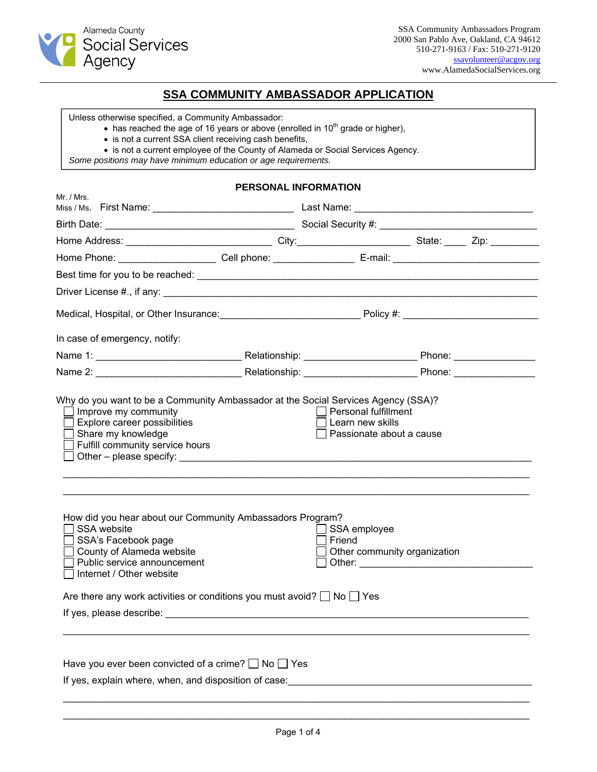

# **SSA COMMUNITY AMBASSADOR APPLICATION**

Unless otherwise specified, a Community Ambassador:

 $\bullet$  has reached the age of 16 years or above (enrolled in 10<sup>th</sup> grade or higher),

- is not a current SSA client receiving cash benefits,
- is not a current employee of the County of Alameda or Social Services Agency.

*Some positions may have minimum education or age requirements.* 

### **PERSONAL INFORMATION**

| Mr. / Mrs.                                                                                                                                                                                                                     |  |                        |                              |  |
|--------------------------------------------------------------------------------------------------------------------------------------------------------------------------------------------------------------------------------|--|------------------------|------------------------------|--|
|                                                                                                                                                                                                                                |  |                        |                              |  |
| Home Address: __________________________________City:___________________________State: ______ Zip: ___________                                                                                                                 |  |                        |                              |  |
| Home Phone: _______________________Cell phone: ________________________E-mail: _______________________________                                                                                                                 |  |                        |                              |  |
|                                                                                                                                                                                                                                |  |                        |                              |  |
|                                                                                                                                                                                                                                |  |                        |                              |  |
|                                                                                                                                                                                                                                |  |                        |                              |  |
|                                                                                                                                                                                                                                |  |                        |                              |  |
| In case of emergency, notify:                                                                                                                                                                                                  |  |                        |                              |  |
|                                                                                                                                                                                                                                |  |                        |                              |  |
| Name 2: Name 2: No. 2010 No. 2010 Network 2: Name 2: Name 2: Name 2: Name 2: Name 2: Name 2: Name 2: Name 2: Name 2: Name 2: Name 2: Name 2: Name 2: Name 2: Name 2: Name 2: Name 2: Name 2: Name 2: Name 2: Name 2: Name 2: N |  |                        |                              |  |
| $\Box$ Other – please specify: $\Box$                                                                                                                                                                                          |  |                        |                              |  |
| How did you hear about our Community Ambassadors Program?<br>SSA website<br>SSA's Facebook page<br>County of Alameda website<br>Public service announcement<br>□ Internet / Other website                                      |  | SSA employee<br>Friend | Other community organization |  |
| Are there any work activities or conditions you must avoid? $\Box$ No $\Box$ Yes                                                                                                                                               |  |                        |                              |  |
|                                                                                                                                                                                                                                |  |                        |                              |  |
|                                                                                                                                                                                                                                |  |                        |                              |  |
| Have you ever been convicted of a crime? $\Box$ No $\Box$ Yes                                                                                                                                                                  |  |                        |                              |  |
|                                                                                                                                                                                                                                |  |                        |                              |  |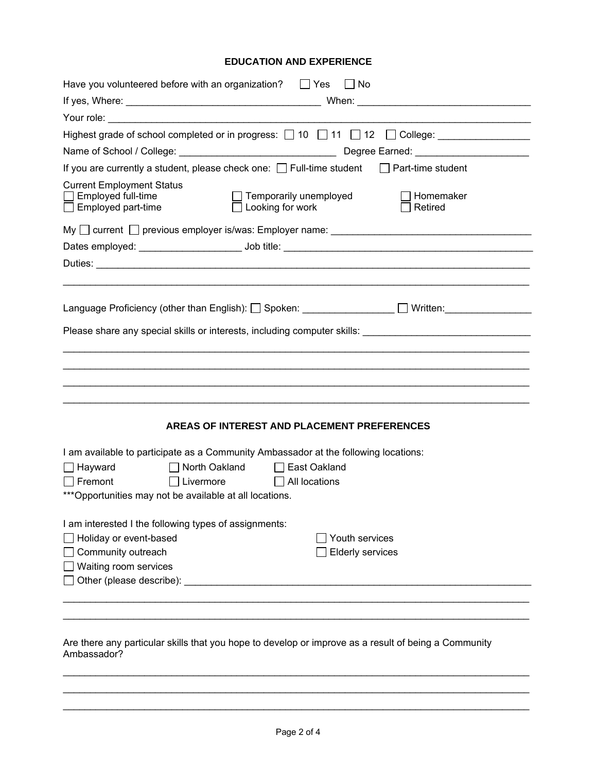## **EDUCATION AND EXPERIENCE**

| Have you volunteered before with an organization? $\Box$ Yes $\Box$ No                                                                                           |
|------------------------------------------------------------------------------------------------------------------------------------------------------------------|
|                                                                                                                                                                  |
| Your role: The Contract of The Contract of The Contract of The Contract of The Contract of The Contract of The                                                   |
|                                                                                                                                                                  |
|                                                                                                                                                                  |
| If you are currently a student, please check one: □ Full-time student □ Part-time student                                                                        |
| <b>Current Employment Status</b><br>Employed full-time<br>$\Box$ Temporarily unemployed<br>Homemaker<br>$\Box$ Employed part-time<br>Looking for work<br>Retired |
| My $\Box$ current $\Box$ previous employer is/was: Employer name: $\Box$                                                                                         |
|                                                                                                                                                                  |
|                                                                                                                                                                  |
|                                                                                                                                                                  |
| Language Proficiency (other than English): □ Spoken: ______________ □ Written: ____________________                                                              |
|                                                                                                                                                                  |
|                                                                                                                                                                  |
|                                                                                                                                                                  |
|                                                                                                                                                                  |
|                                                                                                                                                                  |
| AREAS OF INTEREST AND PLACEMENT PREFERENCES                                                                                                                      |
| I am available to participate as a Community Ambassador at the following locations:                                                                              |
| ■ North Oakland ■ Bast Oakland<br>$\Box$ Hayward                                                                                                                 |
| Fremont<br>All locations<br>$\Box$ Livermore                                                                                                                     |
| *** Opportunities may not be available at all locations.                                                                                                         |
| I am interested I the following types of assignments:                                                                                                            |
| Holiday or event-based<br>Youth services                                                                                                                         |
| Community outreach<br><b>Elderly services</b>                                                                                                                    |
| Waiting room services                                                                                                                                            |
|                                                                                                                                                                  |
|                                                                                                                                                                  |
|                                                                                                                                                                  |
|                                                                                                                                                                  |
| Are there any particular skills that you hope to develop or improve as a result of being a Community                                                             |

hat you hope to develop or improve as a result of being a Community Are there any p<br>Ambassador?

\_\_\_\_\_\_\_\_\_\_\_\_\_\_\_\_\_\_\_\_\_\_\_\_\_\_\_\_\_\_\_\_\_\_\_\_\_\_\_\_\_\_\_\_\_\_\_\_\_\_\_\_\_\_\_\_\_\_\_\_\_\_\_\_\_\_\_\_\_\_\_\_\_\_\_\_\_\_\_\_\_\_\_\_\_\_ \_\_\_\_\_\_\_\_\_\_\_\_\_\_\_\_\_\_\_\_\_\_\_\_\_\_\_\_\_\_\_\_\_\_\_\_\_\_\_\_\_\_\_\_\_\_\_\_\_\_\_\_\_\_\_\_\_\_\_\_\_\_\_\_\_\_\_\_\_\_\_\_\_\_\_\_\_\_\_\_\_\_\_\_\_\_ \_\_\_\_\_\_\_\_\_\_\_\_\_\_\_\_\_\_\_\_\_\_\_\_\_\_\_\_\_\_\_\_\_\_\_\_\_\_\_\_\_\_\_\_\_\_\_\_\_\_\_\_\_\_\_\_\_\_\_\_\_\_\_\_\_\_\_\_\_\_\_\_\_\_\_\_\_\_\_\_\_\_\_\_\_\_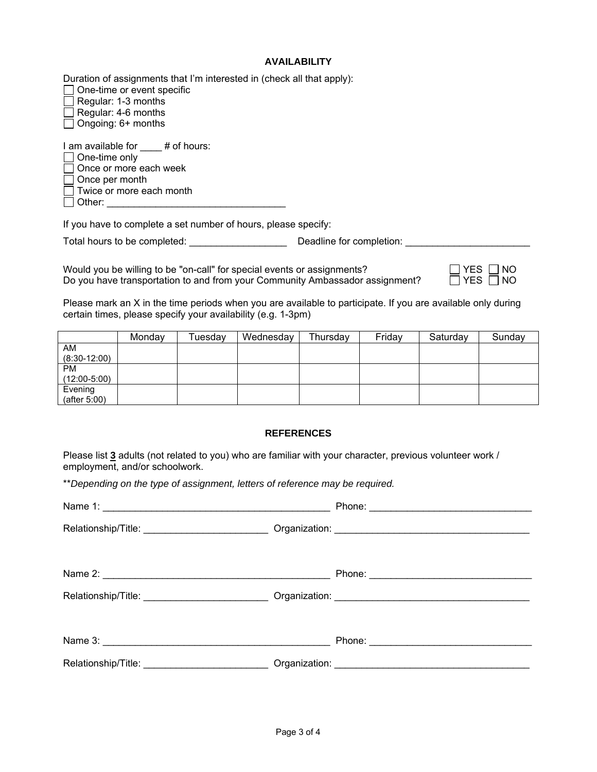### **AVAILABILITY**

Duration of assignments that I'm interested in (check all that apply):

 $\Box$  One-time or event specific  $\Box$  Regular: 1-3 months

Regular: 4-6 months

Ongoing: 6+ months

I am available for # of hours:  $\Box$  One-time only

 $\Box$  Once or more each week

| Once per month |  |
|----------------|--|
|----------------|--|

Twice or more each month

Other: \_\_\_\_\_\_\_\_\_\_\_\_\_\_\_\_\_\_\_\_\_\_\_\_\_\_\_\_\_\_\_\_\_

If you have to complete a set number of hours, please specify:

Total hours to be completed: \_\_\_\_\_\_\_\_\_\_\_\_\_\_\_\_\_\_ Deadline for completion: \_\_\_\_\_\_\_\_\_\_\_\_\_\_\_\_\_\_\_\_\_\_\_

Would you be willing to be "on-call" for special events or assignments? Do you have transportation to and from your Community Ambassador assignment?

| $\Box$ Yes $\Box$ No |  |
|----------------------|--|
| $\Box$ Yes $\Box$ No |  |

Please mark an X in the time periods when you are available to participate. If you are available only during certain times, please specify your availability (e.g. 1-3pm)

|                 | Monday | ⊺uesday | Wednesday | Thursday | Friday | Saturday | Sunday |
|-----------------|--------|---------|-----------|----------|--------|----------|--------|
| <b>AM</b>       |        |         |           |          |        |          |        |
| $(8:30-12:00)$  |        |         |           |          |        |          |        |
| <b>PM</b>       |        |         |           |          |        |          |        |
| $(12:00-5:00)$  |        |         |           |          |        |          |        |
| Evening         |        |         |           |          |        |          |        |
| (after $5:00$ ) |        |         |           |          |        |          |        |

### **REFERENCES**

Please list **3** adults (not related to you) who are familiar with your character, previous volunteer work / employment, and/or schoolwork.

\*\**Depending on the type of assignment, letters of reference may be required.* 

| Relationship/Title: _______________________________Organization: ___________________________________ |  |
|------------------------------------------------------------------------------------------------------|--|
|                                                                                                      |  |
|                                                                                                      |  |